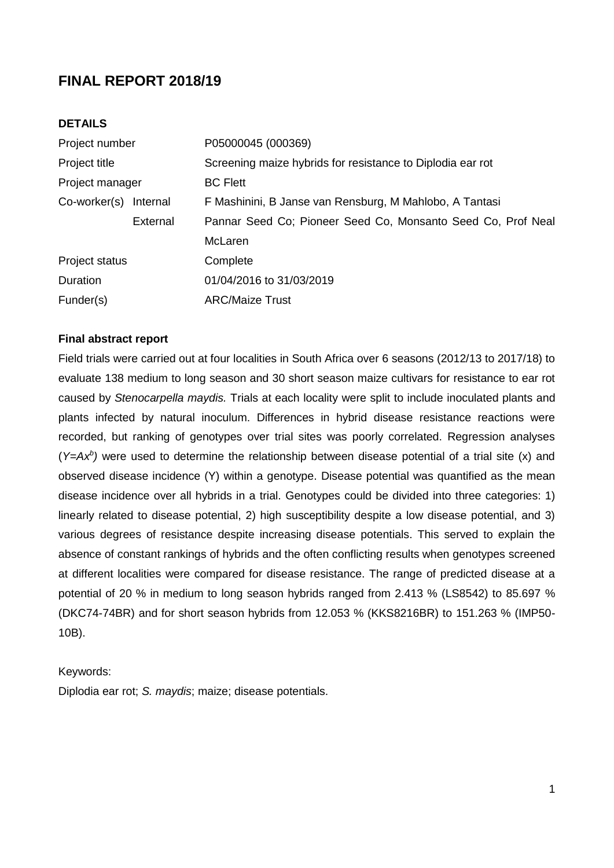# **FINAL REPORT 2018/19**

# **DETAILS**

| Project number     |          | P05000045 (000369)                                           |  |  |  |  |
|--------------------|----------|--------------------------------------------------------------|--|--|--|--|
| Project title      |          | Screening maize hybrids for resistance to Diplodia ear rot   |  |  |  |  |
| Project manager    |          | <b>BC Flett</b>                                              |  |  |  |  |
| $Co$ -worker $(s)$ | Internal | F Mashinini, B Janse van Rensburg, M Mahlobo, A Tantasi      |  |  |  |  |
|                    | External | Pannar Seed Co; Pioneer Seed Co, Monsanto Seed Co, Prof Neal |  |  |  |  |
|                    |          | McLaren                                                      |  |  |  |  |
| Project status     |          | Complete                                                     |  |  |  |  |
| Duration           |          | 01/04/2016 to 31/03/2019                                     |  |  |  |  |
| Funder(s)          |          | <b>ARC/Maize Trust</b>                                       |  |  |  |  |

## **Final abstract report**

Field trials were carried out at four localities in South Africa over 6 seasons (2012/13 to 2017/18) to evaluate 138 medium to long season and 30 short season maize cultivars for resistance to ear rot caused by *Stenocarpella maydis.* Trials at each locality were split to include inoculated plants and plants infected by natural inoculum. Differences in hybrid disease resistance reactions were recorded, but ranking of genotypes over trial sites was poorly correlated. Regression analyses (*Y=Ax<sup>b</sup> )* were used to determine the relationship between disease potential of a trial site (x) and observed disease incidence (Y) within a genotype. Disease potential was quantified as the mean disease incidence over all hybrids in a trial. Genotypes could be divided into three categories: 1) linearly related to disease potential, 2) high susceptibility despite a low disease potential, and 3) various degrees of resistance despite increasing disease potentials. This served to explain the absence of constant rankings of hybrids and the often conflicting results when genotypes screened at different localities were compared for disease resistance. The range of predicted disease at a potential of 20 % in medium to long season hybrids ranged from 2.413 % (LS8542) to 85.697 % (DKC74-74BR) and for short season hybrids from 12.053 % (KKS8216BR) to 151.263 % (IMP50- 10B).

#### Keywords:

Diplodia ear rot; *S. maydis*; maize; disease potentials.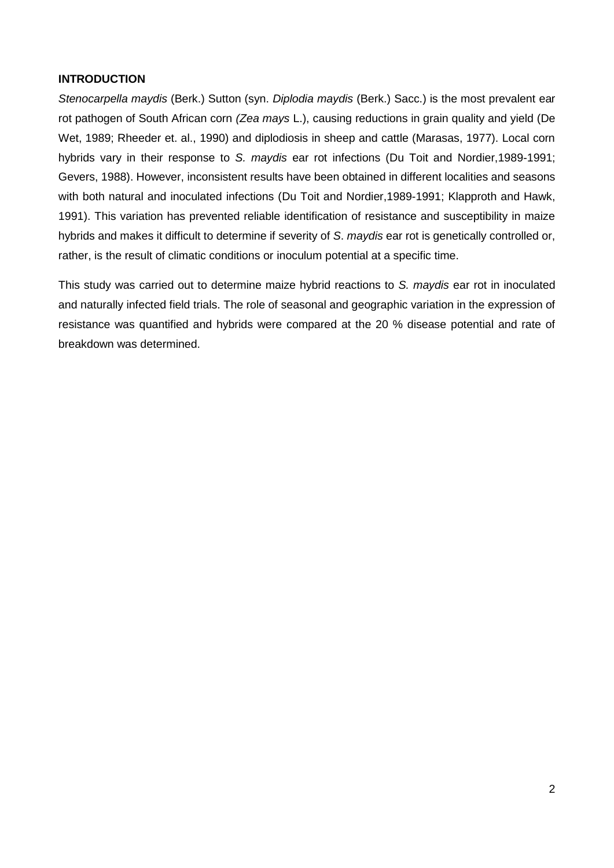# **INTRODUCTION**

*Stenocarpella maydis* (Berk.) Sutton (syn. *Diplodia maydis* (Berk.) Sacc.) is the most prevalent ear rot pathogen of South African corn *(Zea mays* L.), causing reductions in grain quality and yield (De Wet, 1989; Rheeder et. al., 1990) and diplodiosis in sheep and cattle (Marasas, 1977). Local corn hybrids vary in their response to *S. maydis* ear rot infections (Du Toit and Nordier,1989-1991; Gevers, 1988). However, inconsistent results have been obtained in different localities and seasons with both natural and inoculated infections (Du Toit and Nordier,1989-1991; Klapproth and Hawk, 1991). This variation has prevented reliable identification of resistance and susceptibility in maize hybrids and makes it difficult to determine if severity of *S*. *maydis* ear rot is genetically controlled or, rather, is the result of climatic conditions or inoculum potential at a specific time.

This study was carried out to determine maize hybrid reactions to *S. maydis* ear rot in inoculated and naturally infected field trials. The role of seasonal and geographic variation in the expression of resistance was quantified and hybrids were compared at the 20 % disease potential and rate of breakdown was determined.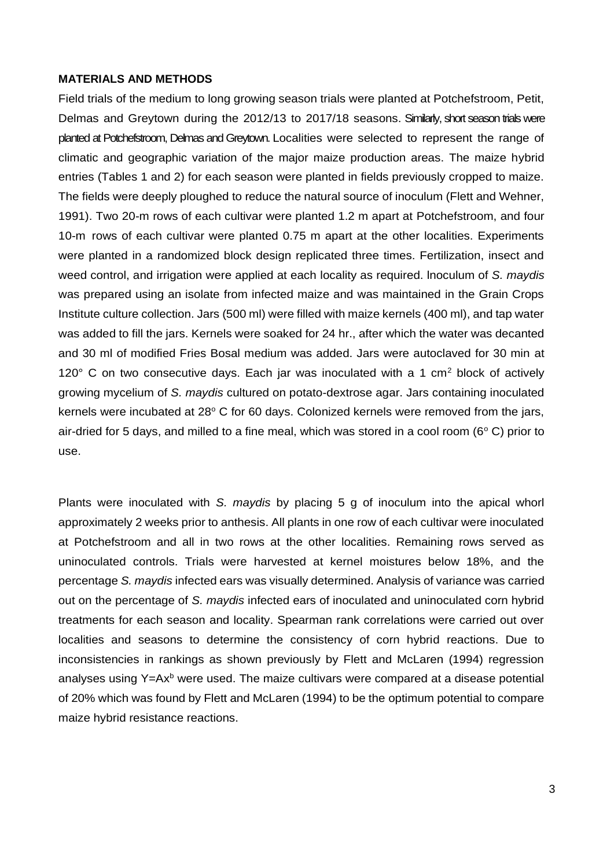#### **MATERIALS AND METHODS**

Field trials of the medium to long growing season trials were planted at Potchefstroom, Petit, Delmas and Greytown during the 2012/13 to 2017/18 seasons. Similarly, short season trials were planted at Potchefstroom, Delmas and Greytown. Localities were selected to represent the range of climatic and geographic variation of the major maize production areas. The maize hybrid entries (Tables 1 and 2) for each season were planted in fields previously cropped to maize. The fields were deeply ploughed to reduce the natural source of inoculum (Flett and Wehner, 1991). Two 20-m rows of each cultivar were planted 1.2 m apart at Potchefstroom, and four 10-m rows of each cultivar were planted 0.75 m apart at the other localities. Experiments were planted in a randomized block design replicated three times. Fertilization, insect and weed control, and irrigation were applied at each locality as required. lnoculum of *S. maydis* was prepared using an isolate from infected maize and was maintained in the Grain Crops Institute culture collection. Jars (500 ml) were filled with maize kernels (400 ml), and tap water was added to fill the jars. Kernels were soaked for 24 hr., after which the water was decanted and 30 ml of modified Fries Bosal medium was added. Jars were autoclaved for 30 min at 120 $\degree$  C on two consecutive days. Each jar was inoculated with a 1 cm<sup>2</sup> block of actively growing mycelium of *S. maydis* cultured on potato-dextrose agar. Jars containing inoculated kernels were incubated at  $28^{\circ}$  C for 60 days. Colonized kernels were removed from the jars, air-dried for 5 days, and milled to a fine meal, which was stored in a cool room ( $6^{\circ}$  C) prior to use.

Plants were inoculated with *S. maydis* by placing 5 g of inoculum into the apical whorl approximately 2 weeks prior to anthesis. All plants in one row of each cultivar were inoculated at Potchefstroom and all in two rows at the other localities. Remaining rows served as uninoculated controls. Trials were harvested at kernel moistures below 18%, and the percentage *S. maydis* infected ears was visually determined. Analysis of variance was carried out on the percentage of *S. maydis* infected ears of inoculated and uninoculated corn hybrid treatments for each season and locality. Spearman rank correlations were carried out over localities and seasons to determine the consistency of corn hybrid reactions. Due to inconsistencies in rankings as shown previously by Flett and McLaren (1994) regression analyses using  $Y=Ax^b$  were used. The maize cultivars were compared at a disease potential of 20% which was found by Flett and McLaren (1994) to be the optimum potential to compare maize hybrid resistance reactions.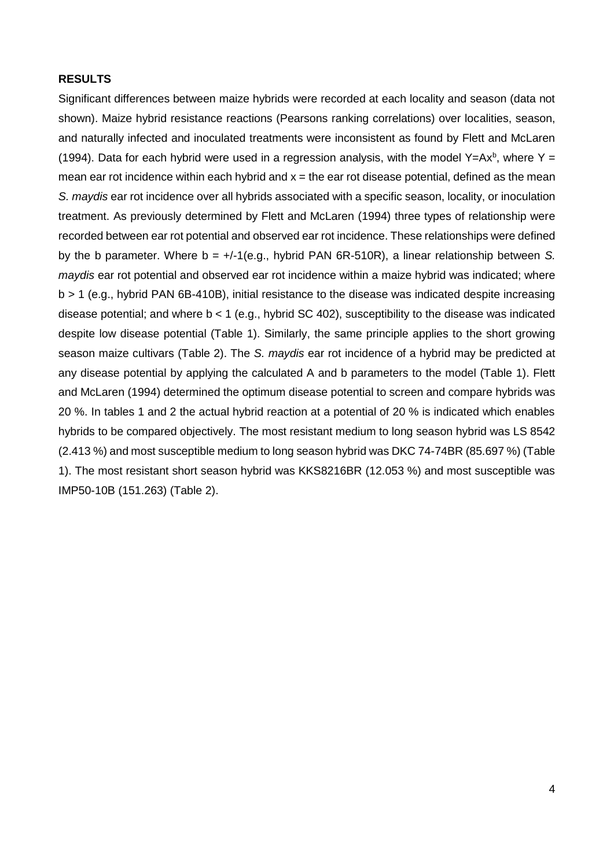## **RESULTS**

Significant differences between maize hybrids were recorded at each locality and season (data not shown). Maize hybrid resistance reactions (Pearsons ranking correlations) over localities, season, and naturally infected and inoculated treatments were inconsistent as found by Flett and McLaren (1994). Data for each hybrid were used in a regression analysis, with the model Y=Ax<sup>b</sup>, where Y = mean ear rot incidence within each hybrid and  $x =$  the ear rot disease potential, defined as the mean *S. maydis* ear rot incidence over all hybrids associated with a specific season, locality, or inoculation treatment. As previously determined by Flett and McLaren (1994) three types of relationship were recorded between ear rot potential and observed ear rot incidence. These relationships were defined by the b parameter. Where b = +/-1(e.g., hybrid PAN 6R-510R), a linear relationship between *S. maydis* ear rot potential and observed ear rot incidence within a maize hybrid was indicated; where b > 1 (e.g., hybrid PAN 6B-410B), initial resistance to the disease was indicated despite increasing disease potential; and where  $b < 1$  (e.g., hybrid SC 402), susceptibility to the disease was indicated despite low disease potential (Table 1). Similarly, the same principle applies to the short growing season maize cultivars (Table 2). The *S. maydis* ear rot incidence of a hybrid may be predicted at any disease potential by applying the calculated A and b parameters to the model (Table 1). Flett and McLaren (1994) determined the optimum disease potential to screen and compare hybrids was 20 %. In tables 1 and 2 the actual hybrid reaction at a potential of 20 % is indicated which enables hybrids to be compared objectively. The most resistant medium to long season hybrid was LS 8542 (2.413 %) and most susceptible medium to long season hybrid was DKC 74-74BR (85.697 %) (Table 1). The most resistant short season hybrid was KKS8216BR (12.053 %) and most susceptible was IMP50-10B (151.263) (Table 2).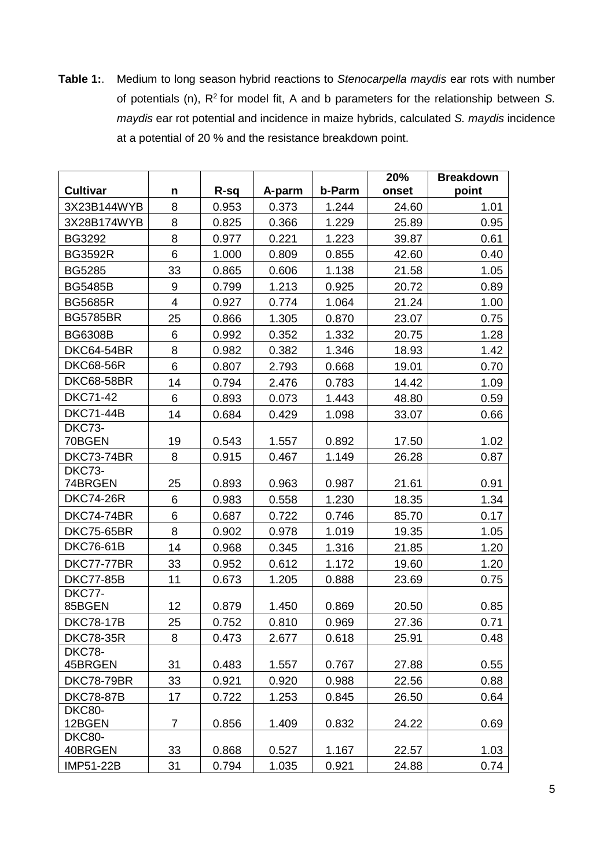**Table 1:**. Medium to long season hybrid reactions to *Stenocarpella maydis* ear rots with number of potentials (n), R<sup>2</sup>for model fit, A and b parameters for the relationship between *S. maydis* ear rot potential and incidence in maize hybrids, calculated *S. maydis* incidence at a potential of 20 % and the resistance breakdown point.

|                          |                |       |        |        | 20%   | <b>Breakdown</b> |
|--------------------------|----------------|-------|--------|--------|-------|------------------|
| <b>Cultivar</b>          | n              | R-sq  | A-parm | b-Parm | onset | point            |
| 3X23B144WYB              | 8              | 0.953 | 0.373  | 1.244  | 24.60 | 1.01             |
| 3X28B174WYB              | 8              | 0.825 | 0.366  | 1.229  | 25.89 | 0.95             |
| <b>BG3292</b>            | 8              | 0.977 | 0.221  | 1.223  | 39.87 | 0.61             |
| <b>BG3592R</b>           | 6              | 1.000 | 0.809  | 0.855  | 42.60 | 0.40             |
| <b>BG5285</b>            | 33             | 0.865 | 0.606  | 1.138  | 21.58 | 1.05             |
| <b>BG5485B</b>           | 9              | 0.799 | 1.213  | 0.925  | 20.72 | 0.89             |
| <b>BG5685R</b>           | $\overline{4}$ | 0.927 | 0.774  | 1.064  | 21.24 | 1.00             |
| <b>BG5785BR</b>          | 25             | 0.866 | 1.305  | 0.870  | 23.07 | 0.75             |
| <b>BG6308B</b>           | 6              | 0.992 | 0.352  | 1.332  | 20.75 | 1.28             |
| <b>DKC64-54BR</b>        | 8              | 0.982 | 0.382  | 1.346  | 18.93 | 1.42             |
| <b>DKC68-56R</b>         | 6              | 0.807 | 2.793  | 0.668  | 19.01 | 0.70             |
| <b>DKC68-58BR</b>        | 14             | 0.794 | 2.476  | 0.783  | 14.42 | 1.09             |
| <b>DKC71-42</b>          | 6              | 0.893 | 0.073  | 1.443  | 48.80 | 0.59             |
| <b>DKC71-44B</b>         | 14             | 0.684 | 0.429  | 1.098  | 33.07 | 0.66             |
| DKC73-                   |                |       |        |        |       |                  |
| 70BGEN                   | 19             | 0.543 | 1.557  | 0.892  | 17.50 | 1.02             |
| <b>DKC73-74BR</b>        | 8              | 0.915 | 0.467  | 1.149  | 26.28 | 0.87             |
| DKC73-<br>74BRGEN        | 25             | 0.893 | 0.963  | 0.987  | 21.61 | 0.91             |
| <b>DKC74-26R</b>         | 6              | 0.983 | 0.558  | 1.230  | 18.35 | 1.34             |
| <b>DKC74-74BR</b>        | 6              | 0.687 | 0.722  | 0.746  | 85.70 | 0.17             |
| <b>DKC75-65BR</b>        | 8              | 0.902 | 0.978  | 1.019  | 19.35 | 1.05             |
| <b>DKC76-61B</b>         | 14             | 0.968 | 0.345  | 1.316  | 21.85 | 1.20             |
| <b>DKC77-77BR</b>        | 33             | 0.952 | 0.612  | 1.172  | 19.60 | 1.20             |
| <b>DKC77-85B</b>         | 11             | 0.673 | 1.205  | 0.888  | 23.69 | 0.75             |
| DKC77-                   |                |       |        |        |       |                  |
| 85BGEN                   | 12             | 0.879 | 1.450  | 0.869  | 20.50 | 0.85             |
| <b>DKC78-17B</b>         | 25             | 0.752 | 0.810  | 0.969  | 27.36 | 0.71             |
| <b>DKC78-35R</b>         | 8              | 0.473 | 2.677  | 0.618  | 25.91 | 0.48             |
| DKC78-                   |                |       |        |        |       |                  |
| 45BRGEN                  | 31             | 0.483 | 1.557  | 0.767  | 27.88 | 0.55             |
| <b>DKC78-79BR</b>        | 33             | 0.921 | 0.920  | 0.988  | 22.56 | 0.88             |
| <b>DKC78-87B</b>         | 17             | 0.722 | 1.253  | 0.845  | 26.50 | 0.64             |
| DKC80-<br>12BGEN         | $\overline{7}$ | 0.856 | 1.409  | 0.832  | 24.22 | 0.69             |
| <b>DKC80-</b><br>40BRGEN | 33             | 0.868 | 0.527  | 1.167  | 22.57 | 1.03             |
| IMP51-22B                | 31             | 0.794 | 1.035  | 0.921  | 24.88 | 0.74             |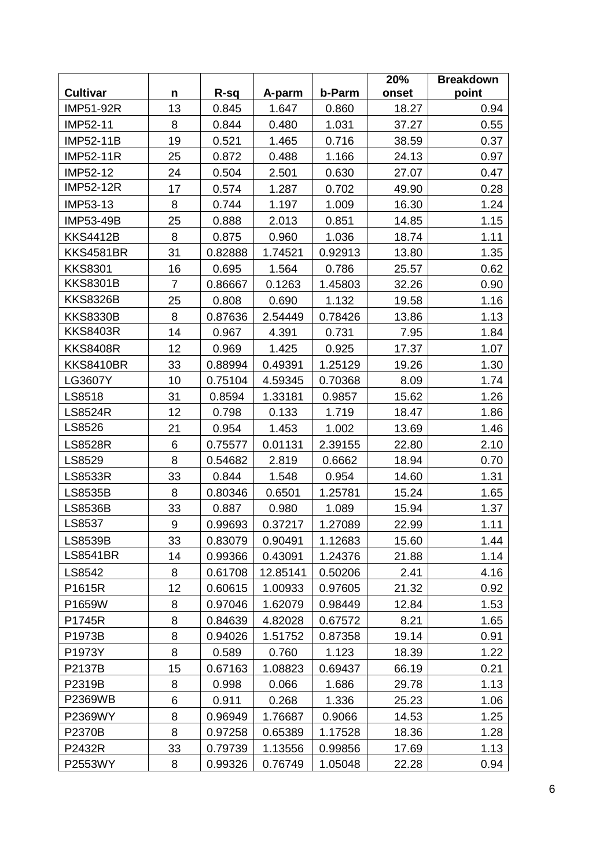|                  |                |         |          |         | 20%   | <b>Breakdown</b> |
|------------------|----------------|---------|----------|---------|-------|------------------|
| <b>Cultivar</b>  | n              | R-sq    | A-parm   | b-Parm  | onset | point            |
| IMP51-92R        | 13             | 0.845   | 1.647    | 0.860   | 18.27 | 0.94             |
| IMP52-11         | 8              | 0.844   | 0.480    | 1.031   | 37.27 | 0.55             |
| <b>IMP52-11B</b> | 19             | 0.521   | 1.465    | 0.716   | 38.59 | 0.37             |
| <b>IMP52-11R</b> | 25             | 0.872   | 0.488    | 1.166   | 24.13 | 0.97             |
| IMP52-12         | 24             | 0.504   | 2.501    | 0.630   | 27.07 | 0.47             |
| <b>IMP52-12R</b> | 17             | 0.574   | 1.287    | 0.702   | 49.90 | 0.28             |
| IMP53-13         | 8              | 0.744   | 1.197    | 1.009   | 16.30 | 1.24             |
| IMP53-49B        | 25             | 0.888   | 2.013    | 0.851   | 14.85 | 1.15             |
| <b>KKS4412B</b>  | 8              | 0.875   | 0.960    | 1.036   | 18.74 | 1.11             |
| <b>KKS4581BR</b> | 31             | 0.82888 | 1.74521  | 0.92913 | 13.80 | 1.35             |
| <b>KKS8301</b>   | 16             | 0.695   | 1.564    | 0.786   | 25.57 | 0.62             |
| <b>KKS8301B</b>  | $\overline{7}$ | 0.86667 | 0.1263   | 1.45803 | 32.26 | 0.90             |
| <b>KKS8326B</b>  | 25             | 0.808   | 0.690    | 1.132   | 19.58 | 1.16             |
| <b>KKS8330B</b>  | 8              | 0.87636 | 2.54449  | 0.78426 | 13.86 | 1.13             |
| <b>KKS8403R</b>  | 14             | 0.967   | 4.391    | 0.731   | 7.95  | 1.84             |
| <b>KKS8408R</b>  | 12             | 0.969   | 1.425    | 0.925   | 17.37 | 1.07             |
| <b>KKS8410BR</b> | 33             | 0.88994 | 0.49391  | 1.25129 | 19.26 | 1.30             |
| LG3607Y          | 10             | 0.75104 | 4.59345  | 0.70368 | 8.09  | 1.74             |
| LS8518           | 31             | 0.8594  | 1.33181  | 0.9857  | 15.62 | 1.26             |
| <b>LS8524R</b>   | 12             | 0.798   | 0.133    | 1.719   | 18.47 | 1.86             |
| LS8526           | 21             | 0.954   | 1.453    | 1.002   | 13.69 | 1.46             |
| <b>LS8528R</b>   | 6              | 0.75577 | 0.01131  | 2.39155 | 22.80 | 2.10             |
| LS8529           | 8              | 0.54682 | 2.819    | 0.6662  | 18.94 | 0.70             |
| <b>LS8533R</b>   | 33             | 0.844   | 1.548    | 0.954   | 14.60 | 1.31             |
| LS8535B          | 8              | 0.80346 | 0.6501   | 1.25781 | 15.24 | 1.65             |
| <b>LS8536B</b>   | 33             | 0.887   | 0.980    | 1.089   | 15.94 | 1.37             |
| LS8537           | 9              | 0.99693 | 0.37217  | 1.27089 | 22.99 | 1.11             |
| <b>LS8539B</b>   | 33             | 0.83079 | 0.90491  | 1.12683 | 15.60 | 1.44             |
| <b>LS8541BR</b>  | 14             | 0.99366 | 0.43091  | 1.24376 | 21.88 | 1.14             |
| LS8542           | 8              | 0.61708 | 12.85141 | 0.50206 | 2.41  | 4.16             |
| P1615R           | 12             | 0.60615 | 1.00933  | 0.97605 | 21.32 | 0.92             |
| P1659W           | 8              | 0.97046 | 1.62079  | 0.98449 | 12.84 | 1.53             |
| P1745R           | 8              | 0.84639 | 4.82028  | 0.67572 | 8.21  | 1.65             |
| P1973B           | 8              | 0.94026 | 1.51752  | 0.87358 | 19.14 | 0.91             |
| P1973Y           | 8              | 0.589   | 0.760    | 1.123   | 18.39 | 1.22             |
| P2137B           | 15             | 0.67163 | 1.08823  | 0.69437 | 66.19 | 0.21             |
| P2319B           | 8              | 0.998   | 0.066    | 1.686   | 29.78 | 1.13             |
| P2369WB          | 6              | 0.911   | 0.268    | 1.336   | 25.23 | 1.06             |
| P2369WY          | 8              | 0.96949 | 1.76687  | 0.9066  | 14.53 | 1.25             |
| <b>P2370B</b>    | 8              | 0.97258 | 0.65389  | 1.17528 | 18.36 | 1.28             |
| P2432R           | 33             | 0.79739 | 1.13556  | 0.99856 | 17.69 | 1.13             |
| P2553WY          | 8              | 0.99326 | 0.76749  | 1.05048 | 22.28 | 0.94             |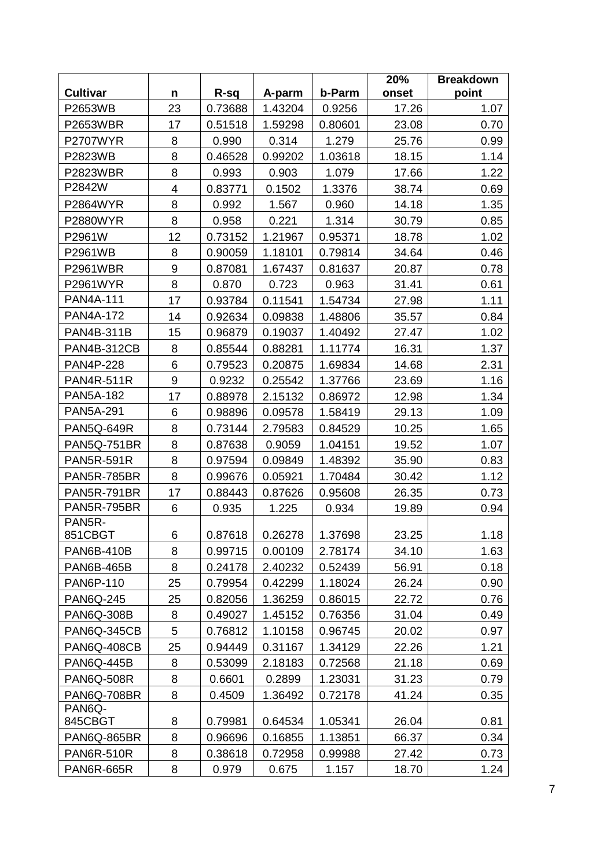|                    |    |         |         |         | 20%   | <b>Breakdown</b> |
|--------------------|----|---------|---------|---------|-------|------------------|
| <b>Cultivar</b>    | n  | R-sq    | A-parm  | b-Parm  | onset | point            |
| P2653WB            | 23 | 0.73688 | 1.43204 | 0.9256  | 17.26 | 1.07             |
| <b>P2653WBR</b>    | 17 | 0.51518 | 1.59298 | 0.80601 | 23.08 | 0.70             |
| <b>P2707WYR</b>    | 8  | 0.990   | 0.314   | 1.279   | 25.76 | 0.99             |
| P2823WB            | 8  | 0.46528 | 0.99202 | 1.03618 | 18.15 | 1.14             |
| <b>P2823WBR</b>    | 8  | 0.993   | 0.903   | 1.079   | 17.66 | 1.22             |
| P2842W             | 4  | 0.83771 | 0.1502  | 1.3376  | 38.74 | 0.69             |
| P2864WYR           | 8  | 0.992   | 1.567   | 0.960   | 14.18 | 1.35             |
| <b>P2880WYR</b>    | 8  | 0.958   | 0.221   | 1.314   | 30.79 | 0.85             |
| P2961W             | 12 | 0.73152 | 1.21967 | 0.95371 | 18.78 | 1.02             |
| P2961WB            | 8  | 0.90059 | 1.18101 | 0.79814 | 34.64 | 0.46             |
| P2961WBR           | 9  | 0.87081 | 1.67437 | 0.81637 | 20.87 | 0.78             |
| P2961WYR           | 8  | 0.870   | 0.723   | 0.963   | 31.41 | 0.61             |
| <b>PAN4A-111</b>   | 17 | 0.93784 | 0.11541 | 1.54734 | 27.98 | 1.11             |
| <b>PAN4A-172</b>   | 14 | 0.92634 | 0.09838 | 1.48806 | 35.57 | 0.84             |
| PAN4B-311B         | 15 | 0.96879 | 0.19037 | 1.40492 | 27.47 | 1.02             |
| <b>PAN4B-312CB</b> | 8  | 0.85544 | 0.88281 | 1.11774 | 16.31 | 1.37             |
| <b>PAN4P-228</b>   | 6  | 0.79523 | 0.20875 | 1.69834 | 14.68 | 2.31             |
| <b>PAN4R-511R</b>  | 9  | 0.9232  | 0.25542 | 1.37766 | 23.69 | 1.16             |
| <b>PAN5A-182</b>   | 17 | 0.88978 | 2.15132 | 0.86972 | 12.98 | 1.34             |
| <b>PAN5A-291</b>   | 6  | 0.98896 | 0.09578 | 1.58419 | 29.13 | 1.09             |
| <b>PAN5Q-649R</b>  | 8  | 0.73144 | 2.79583 | 0.84529 | 10.25 | 1.65             |
| PAN5Q-751BR        | 8  | 0.87638 | 0.9059  | 1.04151 | 19.52 | 1.07             |
| <b>PAN5R-591R</b>  | 8  | 0.97594 | 0.09849 | 1.48392 | 35.90 | 0.83             |
| <b>PAN5R-785BR</b> | 8  | 0.99676 | 0.05921 | 1.70484 | 30.42 | 1.12             |
| <b>PAN5R-791BR</b> | 17 | 0.88443 | 0.87626 | 0.95608 | 26.35 | 0.73             |
| <b>PAN5R-795BR</b> | 6  | 0.935   | 1.225   | 0.934   | 19.89 | 0.94             |
| PAN5R-             |    |         |         |         |       |                  |
| 851CBGT            | 6  | 0.87618 | 0.26278 | 1.37698 | 23.25 | 1.18             |
| <b>PAN6B-410B</b>  | 8  | 0.99715 | 0.00109 | 2.78174 | 34.10 | 1.63             |
| <b>PAN6B-465B</b>  | 8  | 0.24178 | 2.40232 | 0.52439 | 56.91 | 0.18             |
| PAN6P-110          | 25 | 0.79954 | 0.42299 | 1.18024 | 26.24 | 0.90             |
| <b>PAN6Q-245</b>   | 25 | 0.82056 | 1.36259 | 0.86015 | 22.72 | 0.76             |
| <b>PAN6Q-308B</b>  | 8  | 0.49027 | 1.45152 | 0.76356 | 31.04 | 0.49             |
| PAN6Q-345CB        | 5  | 0.76812 | 1.10158 | 0.96745 | 20.02 | 0.97             |
| <b>PAN6Q-408CB</b> | 25 | 0.94449 | 0.31167 | 1.34129 | 22.26 | 1.21             |
| <b>PAN6Q-445B</b>  | 8  | 0.53099 | 2.18183 | 0.72568 | 21.18 | 0.69             |
| <b>PAN6Q-508R</b>  | 8  | 0.6601  | 0.2899  | 1.23031 | 31.23 | 0.79             |
| <b>PAN6Q-708BR</b> | 8  | 0.4509  | 1.36492 | 0.72178 | 41.24 | 0.35             |
| PAN6Q-<br>845CBGT  | 8  | 0.79981 | 0.64534 | 1.05341 | 26.04 | 0.81             |
| PAN6Q-865BR        | 8  | 0.96696 | 0.16855 | 1.13851 | 66.37 | 0.34             |
| <b>PAN6R-510R</b>  | 8  | 0.38618 | 0.72958 | 0.99988 | 27.42 | 0.73             |
| <b>PAN6R-665R</b>  | 8  | 0.979   | 0.675   | 1.157   | 18.70 | 1.24             |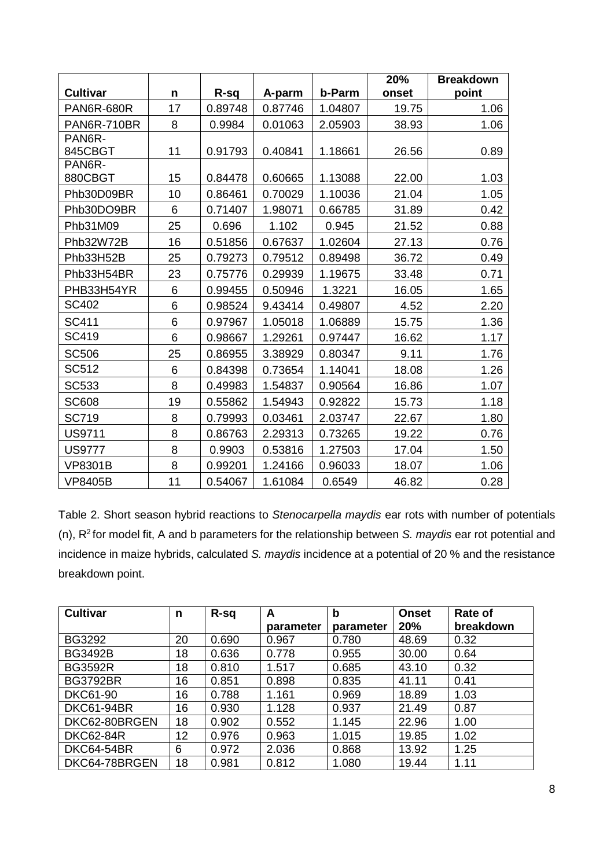|                   |    |         |         |         | 20%   | <b>Breakdown</b> |
|-------------------|----|---------|---------|---------|-------|------------------|
| <b>Cultivar</b>   | n  | R-sq    | A-parm  | b-Parm  | onset | point            |
| <b>PAN6R-680R</b> | 17 | 0.89748 | 0.87746 | 1.04807 | 19.75 | 1.06             |
| PAN6R-710BR       | 8  | 0.9984  | 0.01063 | 2.05903 | 38.93 | 1.06             |
| PAN6R-            |    |         |         |         |       |                  |
| 845CBGT           | 11 | 0.91793 | 0.40841 | 1.18661 | 26.56 | 0.89             |
| PAN6R-            |    |         |         |         |       |                  |
| 880CBGT           | 15 | 0.84478 | 0.60665 | 1.13088 | 22.00 | 1.03             |
| Phb30D09BR        | 10 | 0.86461 | 0.70029 | 1.10036 | 21.04 | 1.05             |
| Phb30DO9BR        | 6  | 0.71407 | 1.98071 | 0.66785 | 31.89 | 0.42             |
| Phb31M09          | 25 | 0.696   | 1.102   | 0.945   | 21.52 | 0.88             |
| Phb32W72B         | 16 | 0.51856 | 0.67637 | 1.02604 | 27.13 | 0.76             |
| Phb33H52B         | 25 | 0.79273 | 0.79512 | 0.89498 | 36.72 | 0.49             |
| Phb33H54BR        | 23 | 0.75776 | 0.29939 | 1.19675 | 33.48 | 0.71             |
| PHB33H54YR        | 6  | 0.99455 | 0.50946 | 1.3221  | 16.05 | 1.65             |
| SC402             | 6  | 0.98524 | 9.43414 | 0.49807 | 4.52  | 2.20             |
| <b>SC411</b>      | 6  | 0.97967 | 1.05018 | 1.06889 | 15.75 | 1.36             |
| <b>SC419</b>      | 6  | 0.98667 | 1.29261 | 0.97447 | 16.62 | 1.17             |
| <b>SC506</b>      | 25 | 0.86955 | 3.38929 | 0.80347 | 9.11  | 1.76             |
| SC512             | 6  | 0.84398 | 0.73654 | 1.14041 | 18.08 | 1.26             |
| <b>SC533</b>      | 8  | 0.49983 | 1.54837 | 0.90564 | 16.86 | 1.07             |
| <b>SC608</b>      | 19 | 0.55862 | 1.54943 | 0.92822 | 15.73 | 1.18             |
| <b>SC719</b>      | 8  | 0.79993 | 0.03461 | 2.03747 | 22.67 | 1.80             |
| <b>US9711</b>     | 8  | 0.86763 | 2.29313 | 0.73265 | 19.22 | 0.76             |
| <b>US9777</b>     | 8  | 0.9903  | 0.53816 | 1.27503 | 17.04 | 1.50             |
| <b>VP8301B</b>    | 8  | 0.99201 | 1.24166 | 0.96033 | 18.07 | 1.06             |
| <b>VP8405B</b>    | 11 | 0.54067 | 1.61084 | 0.6549  | 46.82 | 0.28             |

Table 2. Short season hybrid reactions to *Stenocarpella maydis* ear rots with number of potentials (n), R<sup>2</sup>for model fit, A and b parameters for the relationship between *S. maydis* ear rot potential and incidence in maize hybrids, calculated *S. maydis* incidence at a potential of 20 % and the resistance breakdown point.

| <b>Cultivar</b>   | n  | R-sq  | A         | $\mathbf b$ | <b>Onset</b> | Rate of   |
|-------------------|----|-------|-----------|-------------|--------------|-----------|
|                   |    |       | parameter | parameter   | 20%          | breakdown |
| <b>BG3292</b>     | 20 | 0.690 | 0.967     | 0.780       | 48.69        | 0.32      |
| <b>BG3492B</b>    | 18 | 0.636 | 0.778     | 0.955       | 30.00        | 0.64      |
| <b>BG3592R</b>    | 18 | 0.810 | 1.517     | 0.685       | 43.10        | 0.32      |
| <b>BG3792BR</b>   | 16 | 0.851 | 0.898     | 0.835       | 41.11        | 0.41      |
| <b>DKC61-90</b>   | 16 | 0.788 | 1.161     | 0.969       | 18.89        | 1.03      |
| <b>DKC61-94BR</b> | 16 | 0.930 | 1.128     | 0.937       | 21.49        | 0.87      |
| DKC62-80BRGEN     | 18 | 0.902 | 0.552     | 1.145       | 22.96        | 1.00      |
| <b>DKC62-84R</b>  | 12 | 0.976 | 0.963     | 1.015       | 19.85        | 1.02      |
| <b>DKC64-54BR</b> | 6  | 0.972 | 2.036     | 0.868       | 13.92        | 1.25      |
| DKC64-78BRGEN     | 18 | 0.981 | 0.812     | 1.080       | 19.44        | 1.11      |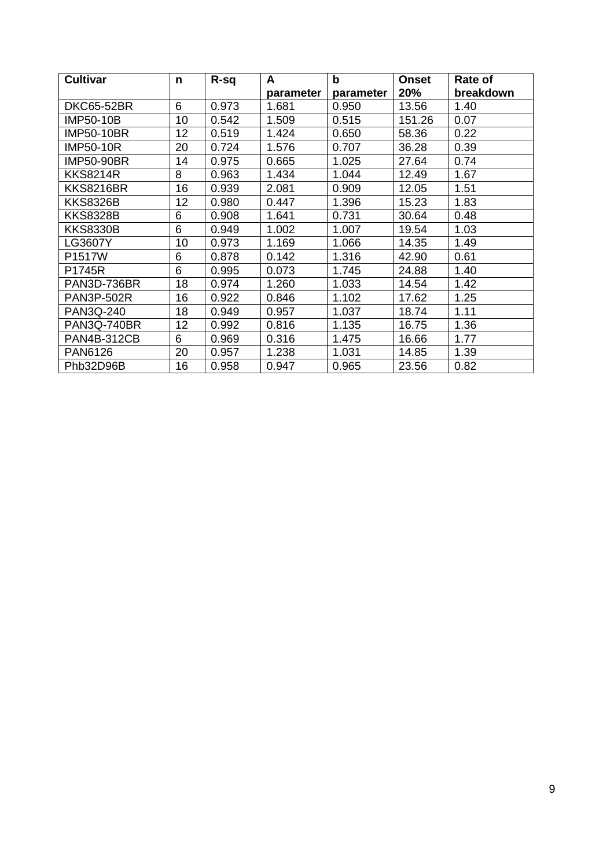| <b>Cultivar</b>    | n  | R-sq  | A         | $\mathbf b$ | <b>Onset</b> | Rate of   |
|--------------------|----|-------|-----------|-------------|--------------|-----------|
|                    |    |       | parameter | parameter   | 20%          | breakdown |
| <b>DKC65-52BR</b>  | 6  | 0.973 | 1.681     | 0.950       | 13.56        | 1.40      |
| IMP50-10B          | 10 | 0.542 | 1.509     | 0.515       | 151.26       | 0.07      |
| <b>IMP50-10BR</b>  | 12 | 0.519 | 1.424     | 0.650       | 58.36        | 0.22      |
| <b>IMP50-10R</b>   | 20 | 0.724 | 1.576     | 0.707       | 36.28        | 0.39      |
| <b>IMP50-90BR</b>  | 14 | 0.975 | 0.665     | 1.025       | 27.64        | 0.74      |
| <b>KKS8214R</b>    | 8  | 0.963 | 1.434     | 1.044       | 12.49        | 1.67      |
| <b>KKS8216BR</b>   | 16 | 0.939 | 2.081     | 0.909       | 12.05        | 1.51      |
| KKS8326B           | 12 | 0.980 | 0.447     | 1.396       | 15.23        | 1.83      |
| <b>KKS8328B</b>    | 6  | 0.908 | 1.641     | 0.731       | 30.64        | 0.48      |
| <b>KKS8330B</b>    | 6  | 0.949 | 1.002     | 1.007       | 19.54        | 1.03      |
| LG3607Y            | 10 | 0.973 | 1.169     | 1.066       | 14.35        | 1.49      |
| P1517W             | 6  | 0.878 | 0.142     | 1.316       | 42.90        | 0.61      |
| P1745R             | 6  | 0.995 | 0.073     | 1.745       | 24.88        | 1.40      |
| PAN3D-736BR        | 18 | 0.974 | 1.260     | 1.033       | 14.54        | 1.42      |
| PAN3P-502R         | 16 | 0.922 | 0.846     | 1.102       | 17.62        | 1.25      |
| PAN3Q-240          | 18 | 0.949 | 0.957     | 1.037       | 18.74        | 1.11      |
| <b>PAN3Q-740BR</b> | 12 | 0.992 | 0.816     | 1.135       | 16.75        | 1.36      |
| <b>PAN4B-312CB</b> | 6  | 0.969 | 0.316     | 1.475       | 16.66        | 1.77      |
| PAN6126            | 20 | 0.957 | 1.238     | 1.031       | 14.85        | 1.39      |
| Phb32D96B          | 16 | 0.958 | 0.947     | 0.965       | 23.56        | 0.82      |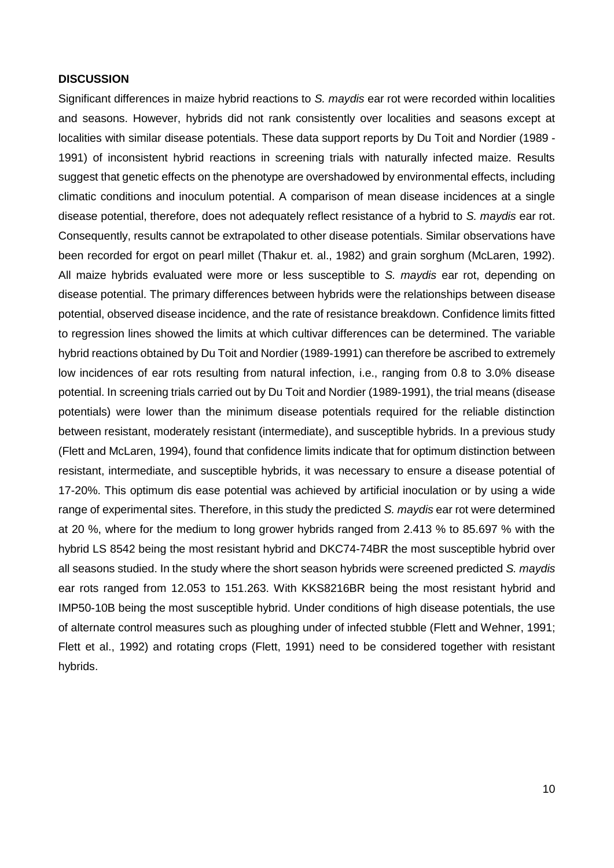#### **DISCUSSION**

Significant differences in maize hybrid reactions to *S. maydis* ear rot were recorded within localities and seasons. However, hybrids did not rank consistently over localities and seasons except at localities with similar disease potentials. These data support reports by Du Toit and Nordier (1989 - 1991) of inconsistent hybrid reactions in screening trials with naturally infected maize. Results suggest that genetic effects on the phenotype are overshadowed by environmental effects, including climatic conditions and inoculum potential. A comparison of mean disease incidences at a single disease potential, therefore, does not adequately reflect resistance of a hybrid to *S. maydis* ear rot. Consequently, results cannot be extrapolated to other disease potentials. Similar observations have been recorded for ergot on pearl millet (Thakur et. al., 1982) and grain sorghum (McLaren, 1992). All maize hybrids evaluated were more or less susceptible to *S. maydis* ear rot, depending on disease potential. The primary differences between hybrids were the relationships between disease potential, observed disease incidence, and the rate of resistance breakdown. Confidence limits fitted to regression lines showed the limits at which cultivar differences can be determined. The variable hybrid reactions obtained by Du Toit and Nordier (1989-1991) can therefore be ascribed to extremely low incidences of ear rots resulting from natural infection, i.e., ranging from 0.8 to 3.0% disease potential. In screening trials carried out by Du Toit and Nordier (1989-1991), the trial means (disease potentials) were lower than the minimum disease potentials required for the reliable distinction between resistant, moderately resistant (intermediate), and susceptible hybrids. In a previous study (Flett and McLaren, 1994), found that confidence limits indicate that for optimum distinction between resistant, intermediate, and susceptible hybrids, it was necessary to ensure a disease potential of 17-20%. This optimum dis ease potential was achieved by artificial inoculation or by using a wide range of experimental sites. Therefore, in this study the predicted *S. maydis* ear rot were determined at 20 %, where for the medium to long grower hybrids ranged from 2.413 % to 85.697 % with the hybrid LS 8542 being the most resistant hybrid and DKC74-74BR the most susceptible hybrid over all seasons studied. In the study where the short season hybrids were screened predicted *S. maydis* ear rots ranged from 12.053 to 151.263. With KKS8216BR being the most resistant hybrid and IMP50-10B being the most susceptible hybrid. Under conditions of high disease potentials, the use of alternate control measures such as ploughing under of infected stubble (Flett and Wehner, 1991; Flett et al., 1992) and rotating crops (Flett, 1991) need to be considered together with resistant hybrids.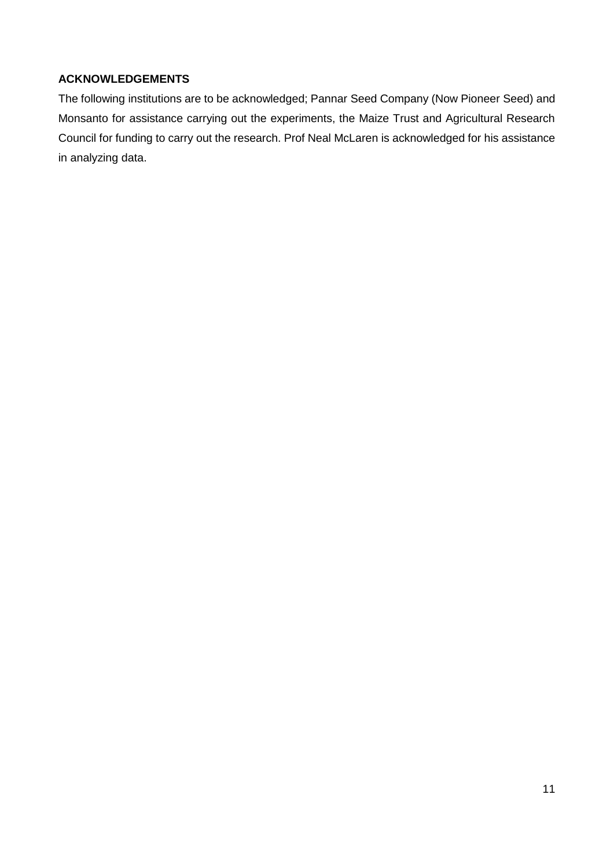# **ACKNOWLEDGEMENTS**

The following institutions are to be acknowledged; Pannar Seed Company (Now Pioneer Seed) and Monsanto for assistance carrying out the experiments, the Maize Trust and Agricultural Research Council for funding to carry out the research. Prof Neal McLaren is acknowledged for his assistance in analyzing data.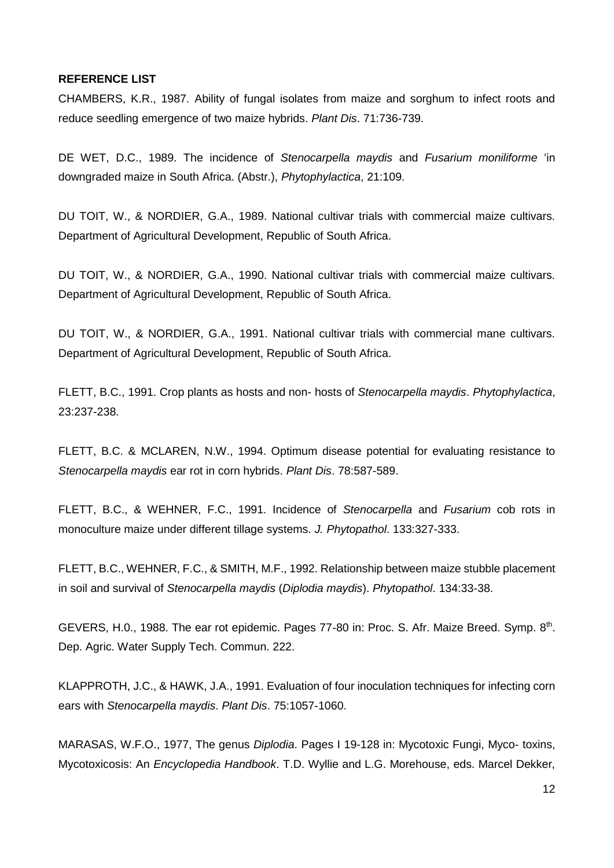## **REFERENCE LIST**

CHAMBERS, K.R., 1987. Ability of fungal isolates from maize and sorghum to infect roots and reduce seedling emergence of two maize hybrids. *Plant Dis*. 71:736-739.

DE WET, D.C., 1989. The incidence of *Stenocarpella maydis* and *Fusarium moniliforme* 'in downgraded maize in South Africa. (Abstr.), *Phytophylactica*, 21:109.

DU TOIT, W., & NORDIER, G.A., 1989. National cultivar trials with commercial maize cultivars. Department of Agricultural Development, Republic of South Africa.

DU TOIT, W., & NORDIER, G.A., 1990. National cultivar trials with commercial maize cultivars. Department of Agricultural Development, Republic of South Africa.

DU TOIT, W., & NORDIER, G.A., 1991. National cultivar trials with commercial mane cultivars. Department of Agricultural Development, Republic of South Africa.

FLETT, B.C., 1991. Crop plants as hosts and non- hosts of *Stenocarpella maydis*. *Phytophylactica*, 23:237-238.

FLETT, B.C. & MCLAREN, N.W., 1994. Optimum disease potential for evaluating resistance to *Stenocarpella maydis* ear rot in corn hybrids. *Plant Dis*. 78:587-589.

FLETT, B.C., & WEHNER, F.C., 1991. Incidence of *Stenocarpella* and *Fusarium* cob rots in monoculture maize under different tillage systems. *J. Phytopathol*. 133:327-333.

FLETT, B.C., WEHNER, F.C., & SMITH, M.F., 1992. Relationship between maize stubble placement in soil and survival of *Stenocarpella maydis* (*Diplodia maydis*). *Phytopathol*. 134:33-38.

GEVERS, H.O., 1988. The ear rot epidemic. Pages 77-80 in: Proc. S. Afr. Maize Breed. Symp. 8th. Dep. Agric. Water Supply Tech. Commun. 222.

KLAPPROTH, J.C., & HAWK, J.A., 1991. Evaluation of four inoculation techniques for infecting corn ears with *Stenocarpella maydis*. *Plant Dis*. 75:1057-1060.

MARASAS, W.F.O., 1977, The genus *Diplodia*. Pages I 19-128 in: Mycotoxic Fungi, Myco- toxins, Mycotoxicosis: An *Encyclopedia Handbook*. T.D. Wyllie and L.G. Morehouse, eds. Marcel Dekker,